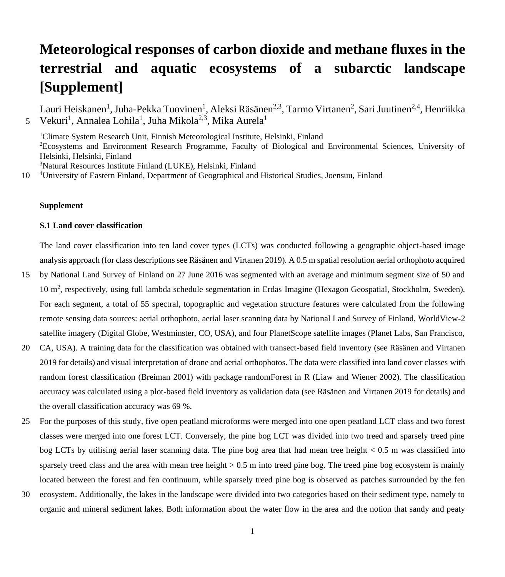# **Meteorological responses of carbon dioxide and methane fluxes in the terrestrial and aquatic ecosystems of a subarctic landscape [Supplement]**

Lauri Heiskanen<sup>1</sup>, Juha-Pekka Tuovinen<sup>1</sup>, Aleksi Räsänen<sup>2,3</sup>, Tarmo Virtanen<sup>2</sup>, Sari Juutinen<sup>2,4</sup>, Henriikka Vekuri<sup>1</sup>, Annalea Lohila<sup>1</sup>, Juha Mikola<sup>2,3</sup>, Mika Aurela<sup>1</sup> 5

<sup>1</sup>Climate System Research Unit, Finnish Meteorological Institute, Helsinki, Finland <sup>2</sup>Ecosystems and Environment Research Programme, Faculty of Biological and Environmental Sciences, University of Helsinki, Helsinki, Finland <sup>3</sup>Natural Resources Institute Finland (LUKE), Helsinki, Finland

10 <sup>4</sup>University of Eastern Finland, Department of Geographical and Historical Studies, Joensuu, Finland

## **Supplement**

#### **S.1 Land cover classification**

The land cover classification into ten land cover types (LCTs) was conducted following a geographic object-based image analysis approach (for class descriptions see Räsänen and Virtanen 2019). A 0.5 m spatial resolution aerial orthophoto acquired

- 15 by National Land Survey of Finland on 27 June 2016 was segmented with an average and minimum segment size of 50 and 10 m<sup>2</sup> , respectively, using full lambda schedule segmentation in Erdas Imagine (Hexagon Geospatial, Stockholm, Sweden). For each segment, a total of 55 spectral, topographic and vegetation structure features were calculated from the following remote sensing data sources: aerial orthophoto, aerial laser scanning data by National Land Survey of Finland, WorldView-2 satellite imagery (Digital Globe, Westminster, CO, USA), and four PlanetScope satellite images (Planet Labs, San Francisco,
- 20 CA, USA). A training data for the classification was obtained with transect-based field inventory (see Räsänen and Virtanen 2019 for details) and visual interpretation of drone and aerial orthophotos. The data were classified into land cover classes with random forest classification (Breiman 2001) with package randomForest in R (Liaw and Wiener 2002). The classification accuracy was calculated using a plot-based field inventory as validation data (see Räsänen and Virtanen 2019 for details) and the overall classification accuracy was 69 %.
- 25 For the purposes of this study, five open peatland microforms were merged into one open peatland LCT class and two forest classes were merged into one forest LCT. Conversely, the pine bog LCT was divided into two treed and sparsely treed pine bog LCTs by utilising aerial laser scanning data. The pine bog area that had mean tree height < 0.5 m was classified into sparsely treed class and the area with mean tree height  $> 0.5$  m into treed pine bog. The treed pine bog ecosystem is mainly located between the forest and fen continuum, while sparsely treed pine bog is observed as patches surrounded by the fen
- 30 ecosystem. Additionally, the lakes in the landscape were divided into two categories based on their sediment type, namely to organic and mineral sediment lakes. Both information about the water flow in the area and the notion that sandy and peaty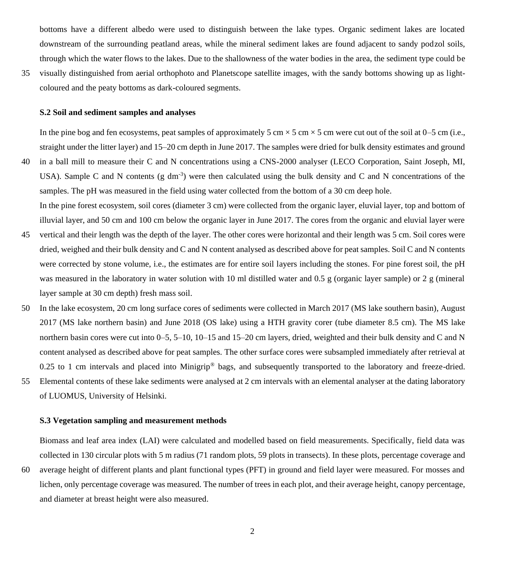bottoms have a different albedo were used to distinguish between the lake types. Organic sediment lakes are located downstream of the surrounding peatland areas, while the mineral sediment lakes are found adjacent to sandy podzol soils, through which the water flows to the lakes. Due to the shallowness of the water bodies in the area, the sediment type could be

35 visually distinguished from aerial orthophoto and Planetscope satellite images, with the sandy bottoms showing up as lightcoloured and the peaty bottoms as dark-coloured segments.

## **S.2 Soil and sediment samples and analyses**

In the pine bog and fen ecosystems, peat samples of approximately 5 cm  $\times$  5 cm  $\times$  5 cm were cut out of the soil at 0–5 cm (i.e., straight under the litter layer) and 15–20 cm depth in June 2017. The samples were dried for bulk density estimates and ground

40 in a ball mill to measure their C and N concentrations using a CNS-2000 analyser (LECO Corporation, Saint Joseph, MI, USA). Sample C and N contents (g dm<sup>-3</sup>) were then calculated using the bulk density and C and N concentrations of the samples. The pH was measured in the field using water collected from the bottom of a 30 cm deep hole. In the pine forest ecosystem, soil cores (diameter 3 cm) were collected from the organic layer, eluvial layer, top and bottom of

illuvial layer, and 50 cm and 100 cm below the organic layer in June 2017. The cores from the organic and eluvial layer were

- 45 vertical and their length was the depth of the layer. The other cores were horizontal and their length was 5 cm. Soil cores were dried, weighed and their bulk density and C and N content analysed as described above for peat samples. Soil C and N contents were corrected by stone volume, i.e., the estimates are for entire soil layers including the stones. For pine forest soil, the pH was measured in the laboratory in water solution with 10 ml distilled water and 0.5 g (organic layer sample) or 2 g (mineral layer sample at 30 cm depth) fresh mass soil.
- 50 In the lake ecosystem, 20 cm long surface cores of sediments were collected in March 2017 (MS lake southern basin), August 2017 (MS lake northern basin) and June 2018 (OS lake) using a HTH gravity corer (tube diameter 8.5 cm). The MS lake northern basin cores were cut into 0–5, 5–10, 10–15 and 15–20 cm layers, dried, weighted and their bulk density and C and N content analysed as described above for peat samples. The other surface cores were subsampled immediately after retrieval at 0.25 to 1 cm intervals and placed into Minigrip® bags, and subsequently transported to the laboratory and freeze-dried.
- 55 Elemental contents of these lake sediments were analysed at 2 cm intervals with an elemental analyser at the dating laboratory of LUOMUS, University of Helsinki.

### **S.3 Vegetation sampling and measurement methods**

Biomass and leaf area index (LAI) were calculated and modelled based on field measurements. Specifically, field data was collected in 130 circular plots with 5 m radius (71 random plots, 59 plots in transects). In these plots, percentage coverage and

60 average height of different plants and plant functional types (PFT) in ground and field layer were measured. For mosses and lichen, only percentage coverage was measured. The number of trees in each plot, and their average height, canopy percentage, and diameter at breast height were also measured.